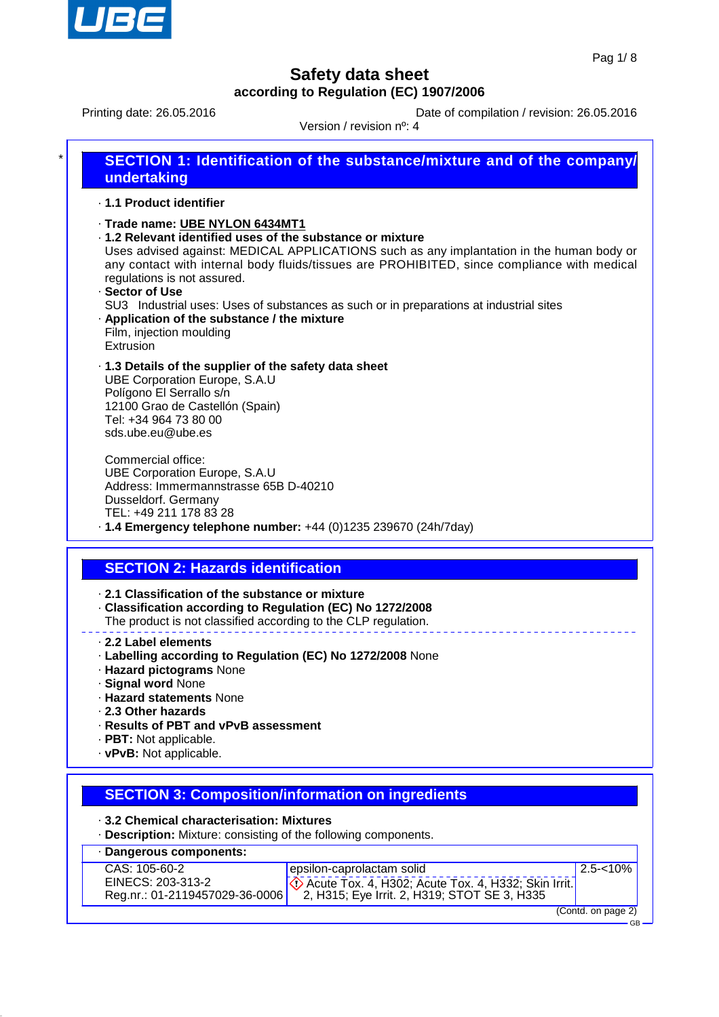

Printing date: 26.05.2016 Date of compilation / revision: 26.05.2016

Version / revision nº: 4

| · 1.1 Product identifier                                                                                                                                                                                                                 |                                                                                                                                                                                                                                                                                   |
|------------------------------------------------------------------------------------------------------------------------------------------------------------------------------------------------------------------------------------------|-----------------------------------------------------------------------------------------------------------------------------------------------------------------------------------------------------------------------------------------------------------------------------------|
| · Trade name: UBE NYLON 6434MT1<br>. 1.2 Relevant identified uses of the substance or mixture<br>regulations is not assured.<br>· Sector of Use<br>. Application of the substance / the mixture<br>Film, injection moulding<br>Extrusion | Uses advised against: MEDICAL APPLICATIONS such as any implantation in the human body or<br>any contact with internal body fluids/tissues are PROHIBITED, since compliance with medical<br>SU3 Industrial uses: Uses of substances as such or in preparations at industrial sites |
| .1.3 Details of the supplier of the safety data sheet<br>UBE Corporation Europe, S.A.U<br>Polígono El Serrallo s/n<br>12100 Grao de Castellón (Spain)<br>Tel: +34 964 73 80 00<br>sds.ube.eu@ube.es                                      |                                                                                                                                                                                                                                                                                   |
| Commercial office:<br><b>UBE Corporation Europe, S.A.U</b><br>Address: Immermannstrasse 65B D-40210<br>Dusseldorf. Germany<br>TEL: +49 211 178 83 28                                                                                     | $\cdot$ 1.4 Emergency telephone number: +44 (0)1235 239670 (24h/7day)                                                                                                                                                                                                             |
|                                                                                                                                                                                                                                          |                                                                                                                                                                                                                                                                                   |
| <b>SECTION 2: Hazards identification</b><br>$\cdot$ 2.1 Classification of the substance or mixture                                                                                                                                       |                                                                                                                                                                                                                                                                                   |
| Classification according to Regulation (EC) No 1272/2008<br>The product is not classified according to the CLP regulation.                                                                                                               |                                                                                                                                                                                                                                                                                   |
| 2.2 Label elements<br>· Labelling according to Regulation (EC) No 1272/2008 None<br>· Hazard pictograms None<br>· Signal word None<br>· Hazard statements None                                                                           |                                                                                                                                                                                                                                                                                   |

- · **Results of PBT and vPvB assessment**
- · **PBT:** Not applicable.
- · **vPvB:** Not applicable.

## **SECTION 3: Composition/information on ingredients**

- · **3.2 Chemical characterisation: Mixtures**
- · **Description:** Mixture: consisting of the following components.

| Dangerous components:          |                                              |                    |
|--------------------------------|----------------------------------------------|--------------------|
| CAS: 105-60-2                  | epsilon-caprolactam solid                    | $2.5 - 10\%$       |
| EINECS: 203-313-2              | 2, H315; Eye Irrit. 2, H319; STOT SE 3, H335 |                    |
| Reg.nr.: 01-2119457029-36-0006 |                                              |                    |
|                                |                                              | (Contd. on page 2) |

GB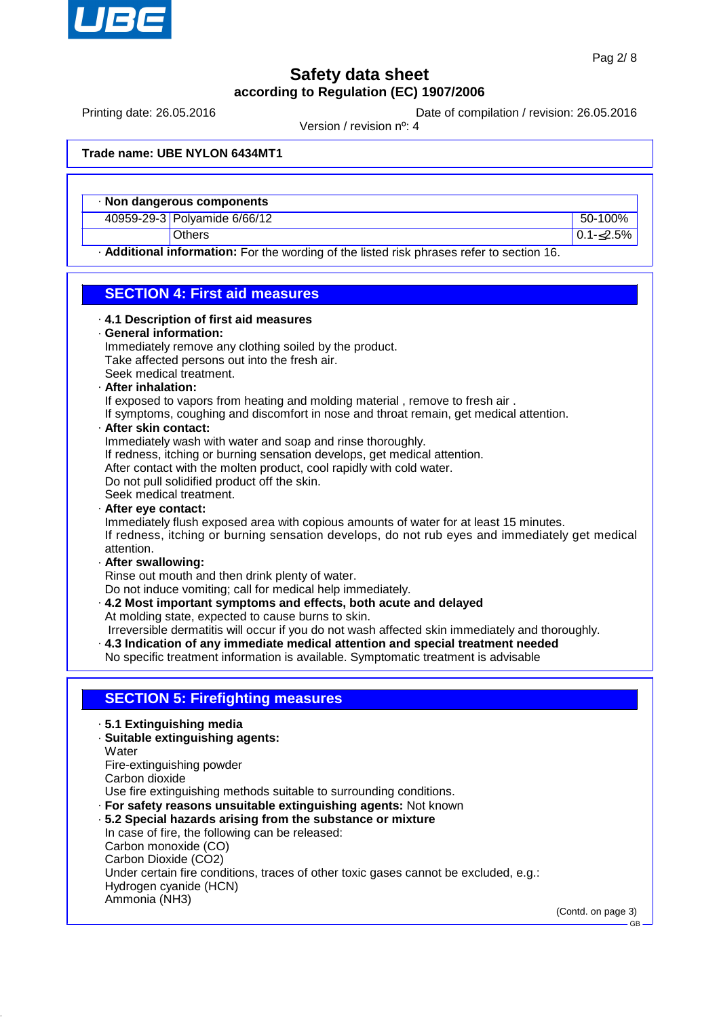

Printing date: 26.05.2016 **Date of compilation / revision: 26.05.2016** 

Version / revision nº: 4

**Trade name: UBE NYLON 6434MT1**

· **Non dangerous components**

40959-29-3 Polyamide 6/66/12 50-100%

Others  $\begin{bmatrix} 0.1 - 2.5\% \end{bmatrix}$ 

· **Additional information:** For the wording of the listed risk phrases refer to section 16.

## **SECTION 4: First aid measures**

|  |  |  |  |  | 4.1 Description of first aid measures |
|--|--|--|--|--|---------------------------------------|
|--|--|--|--|--|---------------------------------------|

· **General information:**

Immediately remove any clothing soiled by the product. Take affected persons out into the fresh air. Seek medical treatment.

· **After inhalation:**

If exposed to vapors from heating and molding material, remove to fresh air.

If symptoms, coughing and discomfort in nose and throat remain, get medical attention.

#### · **After skin contact:**

Immediately wash with water and soap and rinse thoroughly.

If redness, itching or burning sensation develops, get medical attention.

After contact with the molten product, cool rapidly with cold water.

Do not pull solidified product off the skin.

- Seek medical treatment.
- · **After eye contact:**

Immediately flush exposed area with copious amounts of water for at least 15 minutes. If redness, itching or burning sensation develops, do not rub eyes and immediately get medical attention.

· **After swallowing:**

Rinse out mouth and then drink plenty of water.

Do not induce vomiting; call for medical help immediately.

· **4.2 Most important symptoms and effects, both acute and delayed** At molding state, expected to cause burns to skin.

Irreversible dermatitis will occur if you do not wash affected skin immediately and thoroughly.

· **4.3 Indication of any immediate medical attention and special treatment needed** No specific treatment information is available. Symptomatic treatment is advisable

### **SECTION 5: Firefighting measures**

- · **5.1 Extinguishing media**
- · **Suitable extinguishing agents:**
- **Water**
- Fire-extinguishing powder

Carbon dioxide

Use fire extinguishing methods suitable to surrounding conditions.

- · **For safety reasons unsuitable extinguishing agents:** Not known
- · **5.2 Special hazards arising from the substance or mixture** In case of fire, the following can be released:

Carbon monoxide (CO)

Carbon Dioxide (CO2)

Under certain fire conditions, traces of other toxic gases cannot be excluded, e.g.: Hydrogen cyanide (HCN)

Ammonia (NH3)

(Contd. on page 3)

GB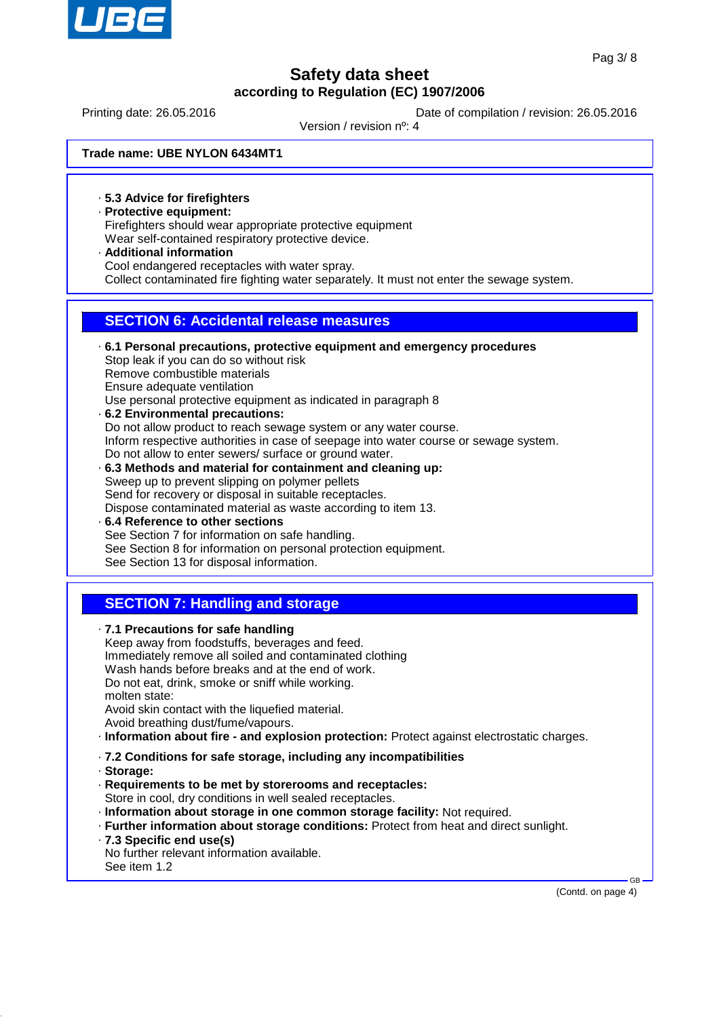

Printing date: 26.05.2016 **Date of compilation / revision: 26.05.2016** 

Version / revision nº: 4

**Trade name: UBE NYLON 6434MT1**

· **5.3 Advice for firefighters**

- · **Protective equipment:** Firefighters should wear appropriate protective equipment Wear self-contained respiratory protective device.
- · **Additional information** Cool endangered receptacles with water spray. Collect contaminated fire fighting water separately. It must not enter the sewage system.

### **SECTION 6: Accidental release measures**

- · **6.1 Personal precautions, protective equipment and emergency procedures** Stop leak if you can do so without risk Remove combustible materials Ensure adequate ventilation Use personal protective equipment as indicated in paragraph 8 · **6.2 Environmental precautions:** Do not allow product to reach sewage system or any water course.
- Inform respective authorities in case of seepage into water course or sewage system. Do not allow to enter sewers/ surface or ground water.
- · **6.3 Methods and material for containment and cleaning up:** Sweep up to prevent slipping on polymer pellets Send for recovery or disposal in suitable receptacles. Dispose contaminated material as waste according to item 13. · **6.4 Reference to other sections**
- See Section 7 for information on safe handling. See Section 8 for information on personal protection equipment. See Section 13 for disposal information.

### **SECTION 7: Handling and storage**

| .7.1 Precautions for safe handling                                     |                                                                                             |
|------------------------------------------------------------------------|---------------------------------------------------------------------------------------------|
|                                                                        | Keep away from foodstuffs, beverages and feed.                                              |
|                                                                        | Immediately remove all soiled and contaminated clothing                                     |
|                                                                        | Wash hands before breaks and at the end of work.                                            |
|                                                                        | Do not eat, drink, smoke or sniff while working.                                            |
| molten state:                                                          |                                                                                             |
|                                                                        | Avoid skin contact with the liquefied material.                                             |
| Avoid breathing dust/fume/vapours.                                     |                                                                                             |
|                                                                        | · Information about fire - and explosion protection: Protect against electrostatic charges. |
|                                                                        | .7.2 Conditions for safe storage, including any incompatibilities                           |
| · Storage:                                                             |                                                                                             |
|                                                                        | · Requirements to be met by storerooms and receptacles:                                     |
|                                                                        | Store in cool, dry conditions in well sealed receptacles.                                   |
|                                                                        | · Information about storage in one common storage facility: Not required.                   |
|                                                                        | · Further information about storage conditions: Protect from heat and direct sunlight.      |
|                                                                        |                                                                                             |
|                                                                        |                                                                                             |
| .7.3 Specific end use(s)<br>No further relevant information available. |                                                                                             |

(Contd. on page 4)

GB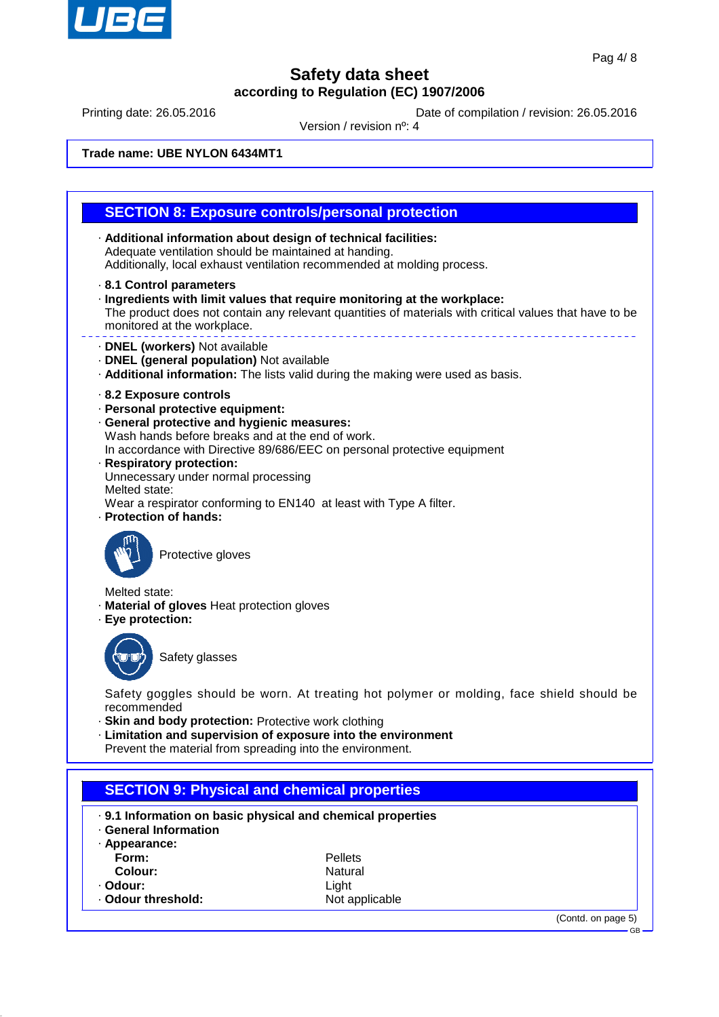

(Contd. on page 5)

GB

## **Safety data sheet according to Regulation (EC) 1907/2006**

Printing date: 26.05.2016 Date of compilation / revision: 26.05.2016

Version / revision nº: 4

**Trade name: UBE NYLON 6434MT1**

|                                             | <b>SECTION 8: Exposure controls/personal protection</b>                                                                                                                             |
|---------------------------------------------|-------------------------------------------------------------------------------------------------------------------------------------------------------------------------------------|
|                                             | · Additional information about design of technical facilities:                                                                                                                      |
|                                             | Adequate ventilation should be maintained at handing.                                                                                                                               |
|                                             | Additionally, local exhaust ventilation recommended at molding process.                                                                                                             |
| 8.1 Control parameters                      |                                                                                                                                                                                     |
| monitored at the workplace.                 | · Ingredients with limit values that require monitoring at the workplace:<br>The product does not contain any relevant quantities of materials with critical values that have to be |
| · DNEL (workers) Not available              |                                                                                                                                                                                     |
| · DNEL (general population) Not available   |                                                                                                                                                                                     |
|                                             | . Additional information: The lists valid during the making were used as basis.                                                                                                     |
| 8.2 Exposure controls                       |                                                                                                                                                                                     |
| · Personal protective equipment:            |                                                                                                                                                                                     |
| · General protective and hygienic measures: | Wash hands before breaks and at the end of work.                                                                                                                                    |
|                                             | In accordance with Directive 89/686/EEC on personal protective equipment                                                                                                            |
| · Respiratory protection:                   |                                                                                                                                                                                     |
| Unnecessary under normal processing         |                                                                                                                                                                                     |
| Melted state:                               | Wear a respirator conforming to EN140 at least with Type A filter.                                                                                                                  |
| · Protection of hands:                      |                                                                                                                                                                                     |
| Protective gloves                           |                                                                                                                                                                                     |
| Melted state:                               |                                                                                                                                                                                     |
| · Material of gloves Heat protection gloves |                                                                                                                                                                                     |
| · Eye protection:                           |                                                                                                                                                                                     |
|                                             |                                                                                                                                                                                     |
| Safety glasses                              |                                                                                                                                                                                     |
|                                             |                                                                                                                                                                                     |
|                                             | Safety goggles should be worn. At treating hot polymer or molding, face shield should be                                                                                            |
| recommended                                 |                                                                                                                                                                                     |
|                                             | · Skin and body protection: Protective work clothing                                                                                                                                |
|                                             | Limitation and supervision of exposure into the environment<br>Prevent the material from spreading into the environment.                                                            |
|                                             |                                                                                                                                                                                     |
|                                             |                                                                                                                                                                                     |
|                                             | <b>SECTION 9: Physical and chemical properties</b>                                                                                                                                  |
|                                             | . 9.1 Information on basic physical and chemical properties                                                                                                                         |
| · General Information                       |                                                                                                                                                                                     |
| · Appearance:                               |                                                                                                                                                                                     |
| Form:                                       | Pellets                                                                                                                                                                             |
| <b>Colour:</b>                              | Natural                                                                                                                                                                             |

**Natural** 

• **Odour:** Light<br>• **Odour threshold:** The Control of Allen Rot applicable

· Odour threshold: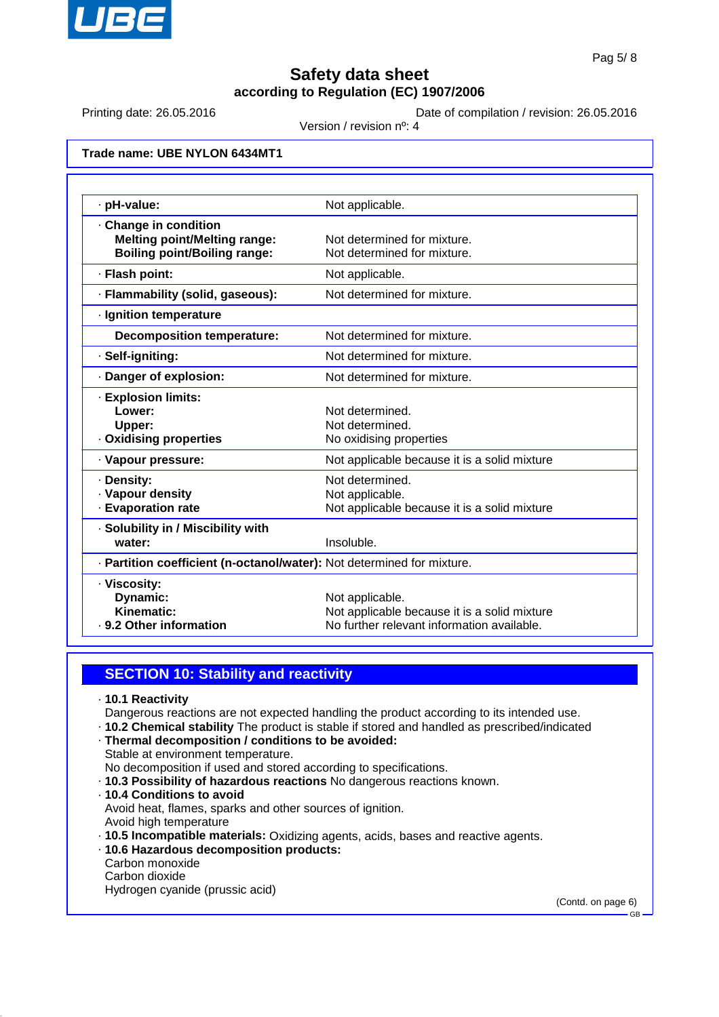

Printing date: 26.05.2016 **Date of compilation / revision: 26.05.2016** 

Version / revision nº: 4

**Trade name: UBE NYLON 6434MT1**

| · pH-value:                                                                                         | Not applicable.                                                                                               |
|-----------------------------------------------------------------------------------------------------|---------------------------------------------------------------------------------------------------------------|
| · Change in condition<br><b>Melting point/Melting range:</b><br><b>Boiling point/Boiling range:</b> | Not determined for mixture.<br>Not determined for mixture.                                                    |
| · Flash point:                                                                                      | Not applicable.                                                                                               |
| · Flammability (solid, gaseous):                                                                    | Not determined for mixture.                                                                                   |
| · Ignition temperature                                                                              |                                                                                                               |
| <b>Decomposition temperature:</b>                                                                   | Not determined for mixture.                                                                                   |
| · Self-igniting:                                                                                    | Not determined for mixture.                                                                                   |
| · Danger of explosion:                                                                              | Not determined for mixture.                                                                                   |
| · Explosion limits:<br>Lower:<br>Upper:<br>· Oxidising properties                                   | Not determined.<br>Not determined.<br>No oxidising properties                                                 |
| · Vapour pressure:                                                                                  | Not applicable because it is a solid mixture                                                                  |
| · Density:<br>· Vapour density<br>· Evaporation rate                                                | Not determined.<br>Not applicable.<br>Not applicable because it is a solid mixture                            |
| · Solubility in / Miscibility with<br>water:                                                        | Insoluble.                                                                                                    |
| · Partition coefficient (n-octanol/water): Not determined for mixture.                              |                                                                                                               |
| · Viscosity:<br>Dynamic:<br>Kinematic:<br>- 9.2 Other information                                   | Not applicable.<br>Not applicable because it is a solid mixture<br>No further relevant information available. |

### **SECTION 10: Stability and reactivity**

- · **10.1 Reactivity**
- Dangerous reactions are not expected handling the product according to its intended use.
- · **10.2 Chemical stability** The product is stable if stored and handled as prescribed/indicated
- · **Thermal decomposition / conditions to be avoided:** Stable at environment temperature.
- No decomposition if used and stored according to specifications.
- · **10.3 Possibility of hazardous reactions** No dangerous reactions known.
- · **10.4 Conditions to avoid**

Avoid heat, flames, sparks and other sources of ignition.

- Avoid high temperature
- · **10.5 Incompatible materials:** Oxidizing agents, acids, bases and reactive agents.
- · **10.6 Hazardous decomposition products:**
- Carbon monoxide
- Carbon dioxide
- Hydrogen cyanide (prussic acid)

(Contd. on page 6)

GB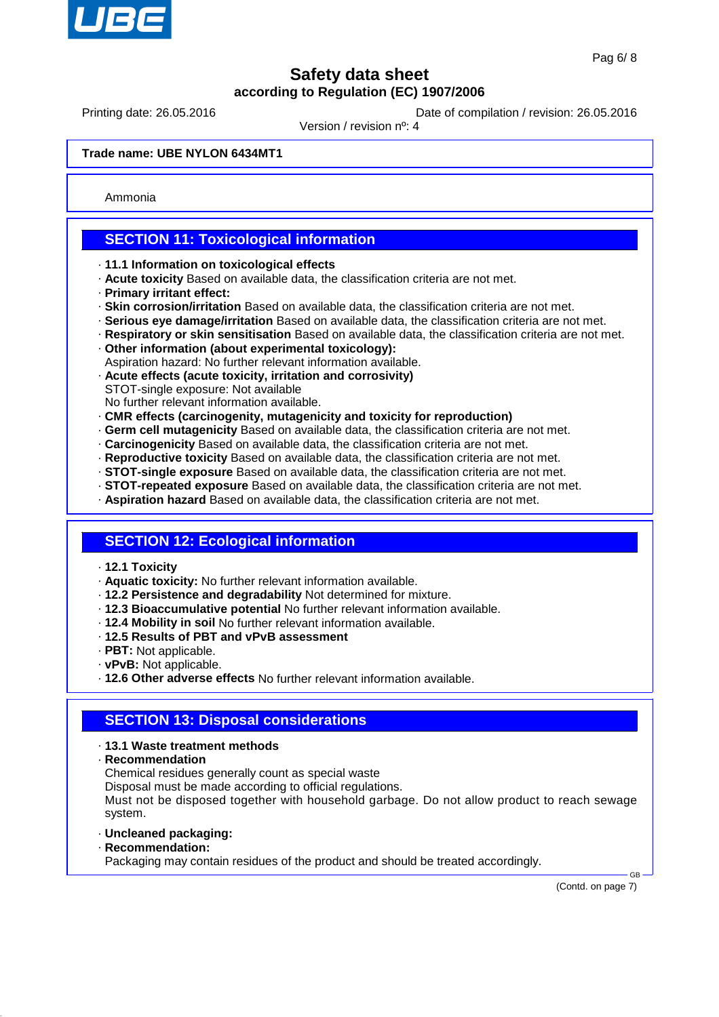

Printing date: 26.05.2016 **Date of compilation / revision: 26.05.2016** 

Version / revision nº: 4

#### **Trade name: UBE NYLON 6434MT1**

Ammonia

### **SECTION 11: Toxicological information**

- · **11.1 Information on toxicological effects**
- · **Acute toxicity** Based on available data, the classification criteria are not met.
- · **Primary irritant effect:**
- · **Skin corrosion/irritation** Based on available data, the classification criteria are not met.
- · **Serious eye damage/irritation** Based on available data, the classification criteria are not met.
- · **Respiratory or skin sensitisation** Based on available data, the classification criteria are not met.
- · **Other information (about experimental toxicology):**
- Aspiration hazard: No further relevant information available.
- · **Acute effects (acute toxicity, irritation and corrosivity)**
- STOT-single exposure: Not available
- No further relevant information available. · **CMR effects (carcinogenity, mutagenicity and toxicity for reproduction)**
- · **Germ cell mutagenicity** Based on available data, the classification criteria are not met.
- · **Carcinogenicity** Based on available data, the classification criteria are not met.
- · **Reproductive toxicity** Based on available data, the classification criteria are not met.
- · **STOT-single exposure** Based on available data, the classification criteria are not met.
- · **STOT-repeated exposure** Based on available data, the classification criteria are not met.
- · **Aspiration hazard** Based on available data, the classification criteria are not met.
- 

#### **SECTION 12: Ecological information**

- · **12.1 Toxicity**
- · **Aquatic toxicity:** No further relevant information available.
- · **12.2 Persistence and degradability** Not determined for mixture.
- · **12.3 Bioaccumulative potential** No further relevant information available.
- · **12.4 Mobility in soil** No further relevant information available.
- · **12.5 Results of PBT and vPvB assessment**
- · **PBT:** Not applicable.
- · **vPvB:** Not applicable.
- · **12.6 Other adverse effects** No further relevant information available.

#### **SECTION 13: Disposal considerations**

- · **13.1 Waste treatment methods**
- · **Recommendation**
- Chemical residues generally count as special waste
- Disposal must be made according to official regulations.

Must not be disposed together with household garbage. Do not allow product to reach sewage system.

- · **Uncleaned packaging:**
- · **Recommendation:** Packaging may contain residues of the product and should be treated accordingly.

(Contd. on page 7)

GB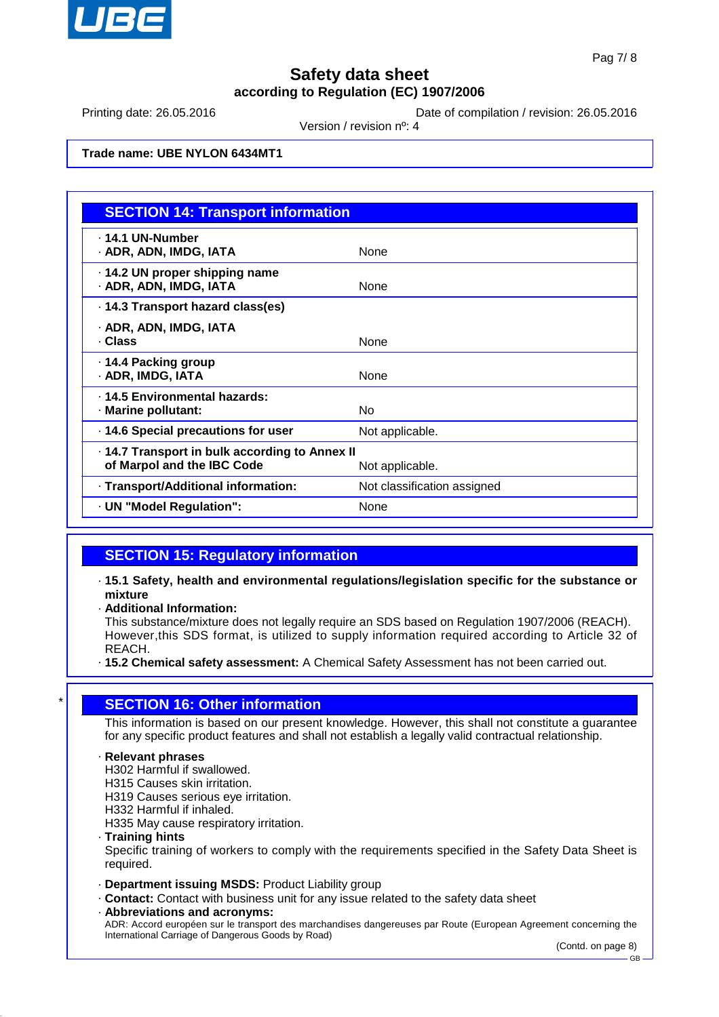

Printing date: 26.05.2016 **Date of compilation / revision: 26.05.2016** 

Version / revision nº: 4

### **Trade name: UBE NYLON 6434MT1**

| <b>SECTION 14: Transport information</b>                                     |                             |
|------------------------------------------------------------------------------|-----------------------------|
| . 14.1 UN-Number<br>· ADR, ADN, IMDG, IATA                                   | None                        |
| 14.2 UN proper shipping name<br>· ADR, ADN, IMDG, IATA                       | None                        |
| · 14.3 Transport hazard class(es)                                            |                             |
| · ADR, ADN, IMDG, IATA<br>· Class                                            | None                        |
| ⋅ 14.4 Packing group<br>· ADR, IMDG, IATA                                    | None                        |
| . 14.5 Environmental hazards:<br>· Marine pollutant:                         | No                          |
| · 14.6 Special precautions for user                                          | Not applicable.             |
| · 14.7 Transport in bulk according to Annex II<br>of Marpol and the IBC Code | Not applicable.             |
| · Transport/Additional information:                                          | Not classification assigned |
| · UN "Model Regulation":                                                     | None                        |

### **SECTION 15: Regulatory information**

· **15.1 Safety, health and environmental regulations/legislation specific for the substance or mixture**

· **Additional Information:**

This substance/mixture does not legally require an SDS based on Regulation 1907/2006 (REACH). However,this SDS format, is utilized to supply information required according to Article 32 of REACH.

· **15.2 Chemical safety assessment:** A Chemical Safety Assessment has not been carried out.

### **SECTION 16: Other information**

This information is based on our present knowledge. However, this shall not constitute a guarantee for any specific product features and shall not establish a legally valid contractual relationship.

#### · **Relevant phrases**

H302 Harmful if swallowed.

- H315 Causes skin irritation.
- H319 Causes serious eye irritation.
- H332 Harmful if inhaled.

H335 May cause respiratory irritation.

· **Training hints**

Specific training of workers to comply with the requirements specified in the Safety Data Sheet is required.

- · **Department issuing MSDS:** Product Liability group
- · **Contact:** Contact with business unit for any issue related to the safety data sheet
- · **Abbreviations and acronyms:** ADR: Accord européen sur le transport des marchandises dangereuses par Route (European Agreement concerning the International Carriage of Dangerous Goods by Road)